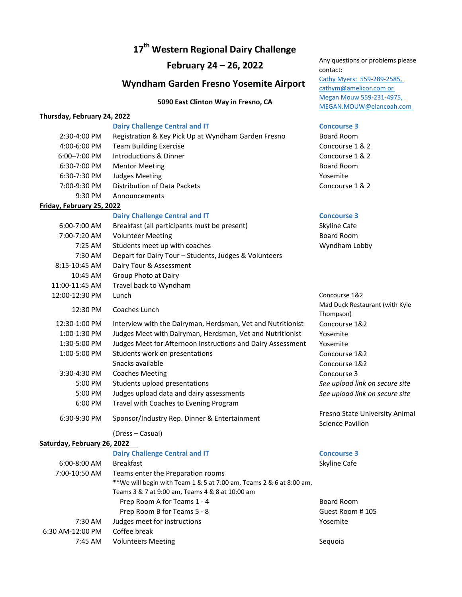## **17th Western Regional Dairy Challenge**

# **Wyndham Garden Fresno Yosemite Airport** Cathy Myers: 559-289-2585,

### **Thursday, February 24, 2022**

### **Dairy Challenge Central and IT Concourse 3**

| 2:30-4:00 PM                | Registration & Key Pick Up at Wyndham Garden Fresno                 | Board Room                                               |
|-----------------------------|---------------------------------------------------------------------|----------------------------------------------------------|
| 4:00-6:00 PM                | <b>Team Building Exercise</b>                                       | Concourse 1 & 2                                          |
| 6:00-7:00 PM                | <b>Introductions &amp; Dinner</b>                                   | Concourse 1 & 2                                          |
| 6:30-7:00 PM                | <b>Mentor Meeting</b>                                               | <b>Board Room</b>                                        |
| 6:30-7:30 PM                | <b>Judges Meeting</b>                                               | Yosemite                                                 |
| 7:00-9:30 PM                | Distribution of Data Packets                                        | Concourse 1 & 2                                          |
| 9:30 PM                     | Announcements                                                       |                                                          |
| Friday, February 25, 2022   |                                                                     |                                                          |
|                             | <b>Dairy Challenge Central and IT</b>                               | <b>Concourse 3</b>                                       |
| 6:00-7:00 AM                | Breakfast (all participants must be present)                        | Skyline Cafe                                             |
| 7:00-7:20 AM                | <b>Volunteer Meeting</b>                                            | <b>Board Room</b>                                        |
| 7:25 AM                     | Students meet up with coaches                                       | Wyndham Lobby                                            |
| 7:30 AM                     | Depart for Dairy Tour - Students, Judges & Volunteers               |                                                          |
| 8:15-10:45 AM               | Dairy Tour & Assessment                                             |                                                          |
| 10:45 AM                    | Group Photo at Dairy                                                |                                                          |
| 11:00-11:45 AM              | Travel back to Wyndham                                              |                                                          |
| 12:00-12:30 PM              | Lunch                                                               | Concourse 1&2                                            |
| 12:30 PM                    | Coaches Lunch                                                       | Mad Duck Restaurant (with Kyle<br>Thompson)              |
| 12:30-1:00 PM               | Interview with the Dairyman, Herdsman, Vet and Nutritionist         | Concourse 1&2                                            |
| 1:00-1:30 PM                | Judges Meet with Dairyman, Herdsman, Vet and Nutritionist           | Yosemite                                                 |
| 1:30-5:00 PM                | Judges Meet for Afternoon Instructions and Dairy Assessment         | Yosemite                                                 |
| 1:00-5:00 PM                | Students work on presentations                                      | Concourse 1&2                                            |
|                             | Snacks available                                                    | Concourse 1&2                                            |
| 3:30-4:30 PM                | <b>Coaches Meeting</b>                                              | Concourse 3                                              |
| 5:00 PM                     | Students upload presentations                                       | See upload link on secure site                           |
| 5:00 PM                     | Judges upload data and dairy assessments                            | See upload link on secure site                           |
| 6:00 PM                     | Travel with Coaches to Evening Program                              |                                                          |
| 6:30-9:30 PM                | Sponsor/Industry Rep. Dinner & Entertainment                        | Fresno State University Anima<br><b>Science Pavilion</b> |
|                             | (Dress - Casual)                                                    |                                                          |
| Saturday, February 26, 2022 |                                                                     |                                                          |
|                             | <b>Dairy Challenge Central and IT</b>                               | <b>Concourse 3</b>                                       |
| 6:00-8:00 AM                | <b>Breakfast</b>                                                    | Skyline Cafe                                             |
| 7:00-10:50 AM               | Teams enter the Preparation rooms                                   |                                                          |
|                             | **We will begin with Team 1 & 5 at 7:00 am, Teams 2 & 6 at 8:00 am, |                                                          |
|                             | Teams 3 & 7 at 9:00 am, Teams 4 & 8 at 10:00 am                     |                                                          |
|                             | Prep Room A for Teams 1 - 4                                         | <b>Board Room</b>                                        |
|                             | Prep Room B for Teams 5 - 8                                         | Guest Room #105                                          |
| 7:30 AM                     | Judges meet for instructions                                        | Yosemite                                                 |

6:30 AM‐12:00 PM Coffee break

7:45 AM Volunteers Meeting Communication of the Sequoia

**February 24 – 26, 2022** Any questions or problems please contact: cathym@amelicor.com or **5090 East Clinton Way in Fresno, CA** Megan Mouw 559-231-4975, MEGAN.MOUW@elancoah.com

| <b>Board Room</b> |  |  |  |  |
|-------------------|--|--|--|--|
| Concourse 1 & 2   |  |  |  |  |
| Concourse 1 & 2   |  |  |  |  |
| <b>Board Room</b> |  |  |  |  |
| Yosemite          |  |  |  |  |
| Concourse 1 & 2   |  |  |  |  |